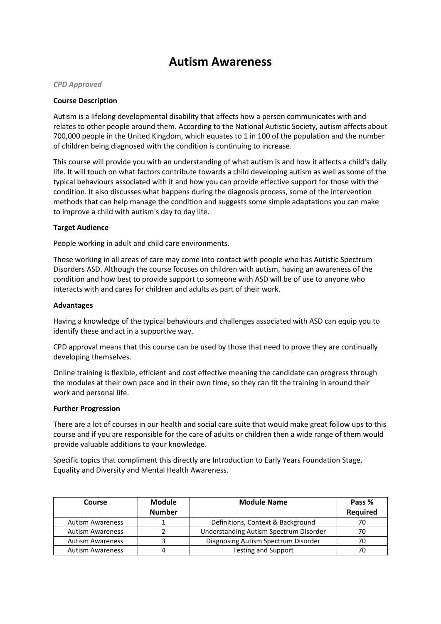# **Autism Awareness**

#### *CPD Approved*

## **Course Description**

Autism is a lifelong developmental disability that affects how a person communicates with and relates to other people around them. According to the National Autistic Society, autism affects about 700,000 people in the United Kingdom, which equates to 1 in 100 of the population and the number of children being diagnosed with the condition is continuing to increase.

This course will provide you with an understanding of what autism is and how it affects a child's daily life. It will touch on what factors contribute towards a child developing autism as well as some of the typical behaviours associated with it and how you can provide effective support for those with the condition. It also discusses what happens during the diagnosis process, some of the intervention methods that can help manage the condition and suggests some simple adaptations you can make to improve a child with autism's day to day life.

## **Target Audience**

People working in adult and child care environments.

Those working in all areas of care may come into contact with people who has Autistic Spectrum Disorders ASD. Although the course focuses on children with autism, having an awareness of the condition and how best to provide support to someone with ASD will be of use to anyone who interacts with and cares for children and adults as part of their work.

## **Advantages**

Having a knowledge of the typical behaviours and challenges associated with ASD can equip you to identify these and act in a supportive way.

CPD approval means that this course can be used by those that need to prove they are continually developing themselves.

Online training is flexible, efficient and cost effective meaning the candidate can progress through the modules at their own pace and in their own time, so they can fit the training in around their work and personal life.

#### **Further Progression**

There are a lot of courses in our health and social care suite that would make great follow ups to this course and if you are responsible for the care of adults or children then a wide range of them would provide valuable additions to your knowledge.

Specific topics that compliment this directly are Introduction to Early Years Foundation Stage, Equality and Diversity and Mental Health Awareness.

| Course                  | <b>Module</b><br><b>Number</b> | <b>Module Name</b>                     | Pass %<br>Required |
|-------------------------|--------------------------------|----------------------------------------|--------------------|
| <b>Autism Awareness</b> |                                | Definitions, Context & Background      | 70                 |
| <b>Autism Awareness</b> |                                | Understanding Autism Spectrum Disorder | 70                 |
| <b>Autism Awareness</b> |                                | Diagnosing Autism Spectrum Disorder    | 70                 |
| <b>Autism Awareness</b> | 4                              | <b>Testing and Support</b>             |                    |